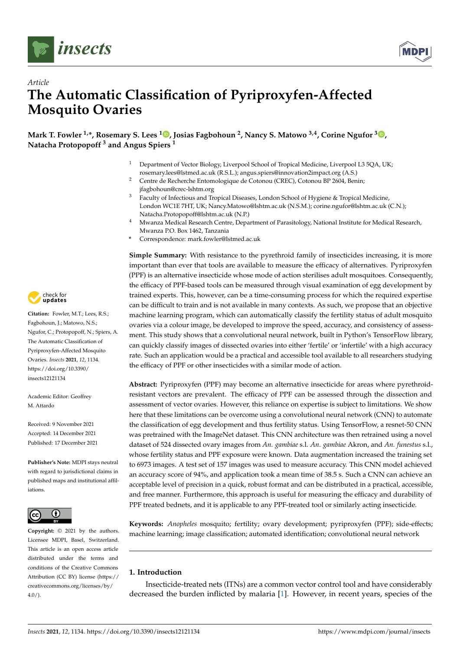



# *Article* **The Automatic Classification of Pyriproxyfen-Affected Mosquito Ovaries**

**Mark T. Fowler 1,\*, Rosemary S. Lees [1](https://orcid.org/0000-0002-4232-9125) , Josias Fagbohoun <sup>2</sup> , Nancy S. Matowo 3,4, Corine Ngufor <sup>3</sup> [,](https://orcid.org/0000-0002-7755-9609) Natacha Protopopoff <sup>3</sup> and Angus Spiers <sup>1</sup>**

- Department of Vector Biology, Liverpool School of Tropical Medicine, Liverpool L3 5QA, UK; rosemary.lees@lstmed.ac.uk (R.S.L.); angus.spiers@innovation2impact.org (A.S.)
- <sup>2</sup> Centre de Recherche Entomologique de Cotonou (CREC), Cotonou BP 2604, Benin; jfagbohoun@crec-lshtm.org
- <sup>3</sup> Faculty of Infectious and Tropical Diseases, London School of Hygiene & Tropical Medicine, London WC1E 7HT, UK; Nancy.Matowo@lshtm.ac.uk (N.S.M.); corine.ngufor@lshtm.ac.uk (C.N.); Natacha.Protopopoff@lshtm.ac.uk (N.P.)
- <sup>4</sup> Mwanza Medical Research Centre, Department of Parasitology, National Institute for Medical Research, Mwanza P.O. Box 1462, Tanzania
- **\*** Correspondence: mark.fowler@lstmed.ac.uk

**Simple Summary:** With resistance to the pyrethroid family of insecticides increasing, it is more important than ever that tools are available to measure the efficacy of alternatives. Pyriproxyfen (PPF) is an alternative insecticide whose mode of action sterilises adult mosquitoes. Consequently, the efficacy of PPF-based tools can be measured through visual examination of egg development by trained experts. This, however, can be a time-consuming process for which the required expertise can be difficult to train and is not available in many contexts. As such, we propose that an objective machine learning program, which can automatically classify the fertility status of adult mosquito ovaries via a colour image, be developed to improve the speed, accuracy, and consistency of assessment. This study shows that a convolutional neural network, built in Python's TensorFlow library, can quickly classify images of dissected ovaries into either 'fertile' or 'infertile' with a high accuracy rate. Such an application would be a practical and accessible tool available to all researchers studying the efficacy of PPF or other insecticides with a similar mode of action.

**Abstract:** Pyriproxyfen (PPF) may become an alternative insecticide for areas where pyrethroidresistant vectors are prevalent. The efficacy of PPF can be assessed through the dissection and assessment of vector ovaries. However, this reliance on expertise is subject to limitations. We show here that these limitations can be overcome using a convolutional neural network (CNN) to automate the classification of egg development and thus fertility status. Using TensorFlow, a resnet-50 CNN was pretrained with the ImageNet dataset. This CNN architecture was then retrained using a novel dataset of 524 dissected ovary images from *An. gambiae* s.l. *An. gambiae* Akron, and *An. funestus* s.l., whose fertility status and PPF exposure were known. Data augmentation increased the training set to 6973 images. A test set of 157 images was used to measure accuracy. This CNN model achieved an accuracy score of 94%, and application took a mean time of 38.5 s. Such a CNN can achieve an acceptable level of precision in a quick, robust format and can be distributed in a practical, accessible, and free manner. Furthermore, this approach is useful for measuring the efficacy and durability of PPF treated bednets, and it is applicable to any PPF-treated tool or similarly acting insecticide.

**Keywords:** *Anopheles* mosquito; fertility; ovary development; pyriproxyfen (PPF); side-effects; machine learning; image classification; automated identification; convolutional neural network

# **1. Introduction**

Insecticide-treated nets (ITNs) are a common vector control tool and have considerably decreased the burden inflicted by malaria [\[1\]](#page-8-0). However, in recent years, species of the



**Citation:** Fowler, M.T.; Lees, R.S.; Fagbohoun, J.; Matowo, N.S.; Ngufor, C.; Protopopoff, N.; Spiers, A. The Automatic Classification of Pyriproxyfen-Affected Mosquito Ovaries. *Insects* **2021**, *12*, 1134. [https://doi.org/10.3390/](https://doi.org/10.3390/insects12121134) [insects12121134](https://doi.org/10.3390/insects12121134)

Academic Editor: Geoffrey M. Attardo

Received: 9 November 2021 Accepted: 14 December 2021 Published: 17 December 2021

**Publisher's Note:** MDPI stays neutral with regard to jurisdictional claims in published maps and institutional affiliations.



**Copyright:** © 2021 by the authors. Licensee MDPI, Basel, Switzerland. This article is an open access article distributed under the terms and conditions of the Creative Commons Attribution (CC BY) license (https:/[/](https://creativecommons.org/licenses/by/4.0/) [creativecommons.org/licenses/by/](https://creativecommons.org/licenses/by/4.0/)  $4.0/$ ).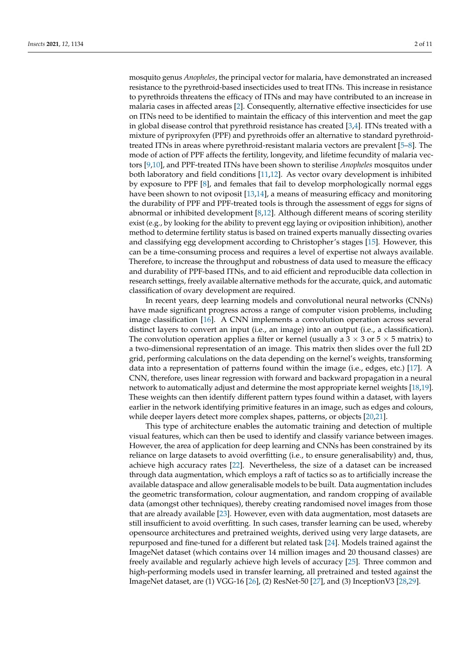mosquito genus *Anopheles*, the principal vector for malaria, have demonstrated an increased resistance to the pyrethroid-based insecticides used to treat ITNs. This increase in resistance to pyrethroids threatens the efficacy of ITNs and may have contributed to an increase in malaria cases in affected areas [\[2\]](#page-8-1). Consequently, alternative effective insecticides for use on ITNs need to be identified to maintain the efficacy of this intervention and meet the gap in global disease control that pyrethroid resistance has created  $[3,4]$  $[3,4]$ . ITNs treated with a mixture of pyriproxyfen (PPF) and pyrethroids offer an alternative to standard pyrethroidtreated ITNs in areas where pyrethroid-resistant malaria vectors are prevalent [\[5–](#page-8-4)[8\]](#page-8-5). The mode of action of PPF affects the fertility, longevity, and lifetime fecundity of malaria vectors [\[9](#page-9-0)[,10\]](#page-9-1), and PPF-treated ITNs have been shown to sterilise *Anopheles* mosquitos under both laboratory and field conditions [\[11](#page-9-2)[,12\]](#page-9-3). As vector ovary development is inhibited by exposure to PPF [\[8\]](#page-8-5), and females that fail to develop morphologically normal eggs have been shown to not oviposit [\[13](#page-9-4)[,14\]](#page-9-5), a means of measuring efficacy and monitoring the durability of PPF and PPF-treated tools is through the assessment of eggs for signs of abnormal or inhibited development [\[8](#page-8-5)[,12\]](#page-9-3). Although different means of scoring sterility exist (e.g., by looking for the ability to prevent egg laying or oviposition inhibition), another method to determine fertility status is based on trained experts manually dissecting ovaries and classifying egg development according to Christopher's stages [\[15\]](#page-9-6). However, this can be a time-consuming process and requires a level of expertise not always available. Therefore, to increase the throughput and robustness of data used to measure the efficacy and durability of PPF-based ITNs, and to aid efficient and reproducible data collection in research settings, freely available alternative methods for the accurate, quick, and automatic classification of ovary development are required.

In recent years, deep learning models and convolutional neural networks (CNNs) have made significant progress across a range of computer vision problems, including image classification [\[16\]](#page-9-7). A CNN implements a convolution operation across several distinct layers to convert an input (i.e., an image) into an output (i.e., a classification)**.** The convolution operation applies a filter or kernel (usually a  $3 \times 3$  or  $5 \times 5$  matrix) to a two-dimensional representation of an image. This matrix then slides over the full 2D grid, performing calculations on the data depending on the kernel's weights, transforming data into a representation of patterns found within the image (i.e., edges, etc.) [\[17\]](#page-9-8). A CNN, therefore, uses linear regression with forward and backward propagation in a neural network to automatically adjust and determine the most appropriate kernel weights [\[18](#page-9-9)[,19\]](#page-9-10). These weights can then identify different pattern types found within a dataset, with layers earlier in the network identifying primitive features in an image, such as edges and colours, while deeper layers detect more complex shapes, patterns, or objects [\[20,](#page-9-11)[21\]](#page-9-12).

This type of architecture enables the automatic training and detection of multiple visual features, which can then be used to identify and classify variance between images. However, the area of application for deep learning and CNNs has been constrained by its reliance on large datasets to avoid overfitting (i.e., to ensure generalisability) and, thus, achieve high accuracy rates [\[22\]](#page-9-13). Nevertheless, the size of a dataset can be increased through data augmentation, which employs a raft of tactics so as to artificially increase the available dataspace and allow generalisable models to be built. Data augmentation includes the geometric transformation, colour augmentation, and random cropping of available data (amongst other techniques), thereby creating randomised novel images from those that are already available [\[23\]](#page-9-14). However, even with data augmentation, most datasets are still insufficient to avoid overfitting. In such cases, transfer learning can be used, whereby opensource architectures and pretrained weights, derived using very large datasets, are repurposed and fine-tuned for a different but related task [\[24\]](#page-9-15). Models trained against the ImageNet dataset (which contains over 14 million images and 20 thousand classes) are freely available and regularly achieve high levels of accuracy [\[25\]](#page-9-16). Three common and high-performing models used in transfer learning, all pretrained and tested against the ImageNet dataset, are (1) VGG-16 [\[26\]](#page-9-17), (2) ResNet-50 [\[27\]](#page-9-18), and (3) InceptionV3 [\[28](#page-9-19)[,29\]](#page-9-20).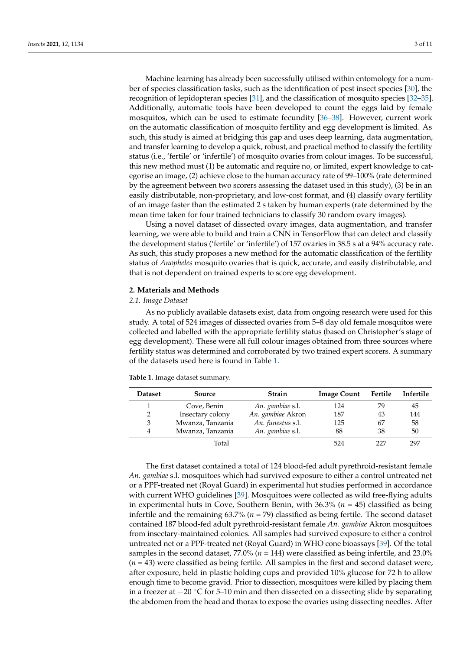Machine learning has already been successfully utilised within entomology for a number of species classification tasks, such as the identification of pest insect species [\[30\]](#page-9-21), the recognition of lepidopteran species [\[31\]](#page-9-22), and the classification of mosquito species [\[32](#page-9-23)[–35\]](#page-9-24). Additionally, automatic tools have been developed to count the eggs laid by female mosquitos, which can be used to estimate fecundity [\[36](#page-9-25)[–38\]](#page-9-26). However, current work on the automatic classification of mosquito fertility and egg development is limited. As such, this study is aimed at bridging this gap and uses deep learning, data augmentation, and transfer learning to develop a quick, robust, and practical method to classify the fertility status (i.e., 'fertile' or 'infertile') of mosquito ovaries from colour images. To be successful, this new method must (1) be automatic and require no, or limited, expert knowledge to categorise an image, (2) achieve close to the human accuracy rate of 99–100% (rate determined by the agreement between two scorers assessing the dataset used in this study), (3) be in an easily distributable, non-proprietary, and low-cost format, and (4) classify ovary fertility of an image faster than the estimated 2 s taken by human experts (rate determined by the mean time taken for four trained technicians to classify 30 random ovary images).

Using a novel dataset of dissected ovary images, data augmentation, and transfer learning, we were able to build and train a CNN in TensorFlow that can detect and classify the development status ('fertile' or 'infertile') of 157 ovaries in 38.5 s at a 94% accuracy rate. As such, this study proposes a new method for the automatic classification of the fertility status of *Anopheles* mosquito ovaries that is quick, accurate, and easily distributable, and that is not dependent on trained experts to score egg development.

## **2. Materials and Methods**

### *2.1. Image Dataset*

As no publicly available datasets exist, data from ongoing research were used for this study. A total of 524 images of dissected ovaries from 5–8 day old female mosquitos were collected and labelled with the appropriate fertility status (based on Christopher's stage of egg development). These were all full colour images obtained from three sources where fertility status was determined and corroborated by two trained expert scorers. A summary of the datasets used here is found in Table [1.](#page-2-0)

| <b>Dataset</b> | Source           | <b>Strain</b>     | <b>Image Count</b> | Fertile | Infertile |
|----------------|------------------|-------------------|--------------------|---------|-----------|
|                | Cove, Benin      | An. gambiae s.l.  | 124                | 79      | 45        |
| 2              | Insectary colony | An. gambiae Akron | 187                | 43      | 144       |
| 3              | Mwanza, Tanzania | An. funestus s.l. | 125                | 67      | 58        |
| 4              | Mwanza, Tanzania | An. gambiae s.l.  | 88                 | 38      | 50        |
|                | Total            |                   | 524                | 777     | 297       |

<span id="page-2-0"></span>**Table 1.** Image dataset summary.

The first dataset contained a total of 124 blood-fed adult pyrethroid-resistant female *An. gambiae* s.l. mosquitoes which had survived exposure to either a control untreated net or a PPF-treated net (Royal Guard) in experimental hut studies performed in accordance with current WHO guidelines [\[39\]](#page-10-0). Mosquitoes were collected as wild free-flying adults in experimental huts in Cove, Southern Benin, with 36.3% (*n* = 45) classified as being infertile and the remaining 63.7% (*n* = 79) classified as being fertile. The second dataset contained 187 blood-fed adult pyrethroid-resistant female *An. gambiae* Akron mosquitoes from insectary-maintained colonies. All samples had survived exposure to either a control untreated net or a PPF-treated net (Royal Guard) in WHO cone bioassays [\[39\]](#page-10-0). Of the total samples in the second dataset, 77.0% (*n* = 144) were classified as being infertile, and 23.0%  $(n = 43)$  were classified as being fertile. All samples in the first and second dataset were, after exposure, held in plastic holding cups and provided 10% glucose for 72 h to allow enough time to become gravid. Prior to dissection, mosquitoes were killed by placing them in a freezer at −20 ◦C for 5–10 min and then dissected on a dissecting slide by separating the abdomen from the head and thorax to expose the ovaries using dissecting needles. After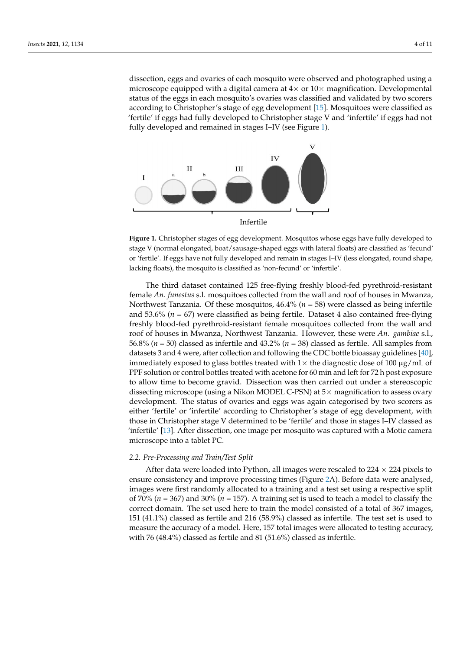dissection, eggs and ovaries of each mosquito were observed and photographed using a microscope equipped with a digital camera at  $4\times$  or  $10\times$  magnification. Developmental status of the eggs in each mosquito's ovaries was classified and validated by two scorers according to Christopher's stage of egg development [15]. Mosquitoes were classified as 'fertile' if eggs had fully developed to Christopher stage V and 'infertile' if eggs had not fully developed and remained in stages I–IV (see Figure [1\)](#page-3-0).

<span id="page-3-0"></span>

mediately exposed to glass bottles treated with  $1\times 10^{-10}$   $\mu$  mL of 100  $\mu$  mL of 100  $\mu$  mL of 100  $\mu$ 

stage V (normal elongated, boat/sausage-shaped eggs with lateral floats) are classified as 'fecund' or 'fertile'. If eggs have not fully developed and remain in stages I–IV (less elongated, round shape, or terms in eggs have not fully developed and remain in stages I (less elongated, re lacking floats), the mosquito is classified as 'non-fecund' or 'infertile'. lacking floats), the mosquito is classified as 'non-fecund' or 'infertile'. **Figure 1.** Christopher stages of egg development. Mosquitos whose eggs have fully developed to

*2.2. Pre-Processing and Train/Test Split* female *An. funestus* s.l. mosquitoes collected from the wall and roof of houses in Mwanza, Northwest Tanzania. Of these mosquitos, 46.4% (*n* = 58) were classed as being infertile and 53.6% ( $n = 67$ ) were classified as being fertile. Dataset 4 also contained free-flying freshly blood-fed pyrethroid-resistant female mosquitoes collected from the wall and roof of houses in Mwanza, Northwest Tanzania. However, these were *An. gambiae* s.l., 56.8% ( $n = 50$ ) classed as infertile and 43.2% ( $n = 38$ ) classed as fertile. All samples from datasets 3 and 4 were, after collection and following the CDC bottle bioassay guidelines [\[40\]](#page-10-1), immediately exposed to glass bottles treated with 1 $\times$  the diagnostic dose of 100  $\mu$ g/mL of PPF solution or control bottles treated with acetone for 60 min and left for 72 h post exposure The third dataset contained 125 free-flying freshly blood-fed pyrethroid-resistant to allow time to become gravid. Dissection was then carried out under a stereoscopic dissecting microscope (using a Nikon MODEL C-PSN) at 5× magnification to assess ovary development. The status of ovaries and eggs was again categorised by two scorers as either 'fertile' or 'infertile' according to Christopher's stage of egg development, with those in Christopher stage V determined to be 'fertile' and those in stages I–IV classed as 'infertile' [\[13\]](#page-9-4). After dissection, one image per mosquito was captured with a Motic camera microscope into a tablet PC.

#### <span id="page-3-1"></span>*2.2. Pre-Processing and Train/Test Split*

After data were loaded into Python, all images were rescaled to 224  $\times$  224 pixels to ensure consistency and improve processing times (Figure [2A](#page-4-0)). Before data were analysed, images were first randomly allocated to a training and a test set using a respective split of 70% (*n* = 367) and 30% (*n* = 157). A training set is used to teach a model to classify the correct domain. The set used here to train the model consisted of a total of 367 images, 151 (41.1%) classed as fertile and 216 (58.9%) classed as infertile. The test set is used to measure the accuracy of a model. Here, 157 total images were allocated to testing accuracy, with 76 (48.4%) classed as fertile and 81 (51.6%) classed as infertile.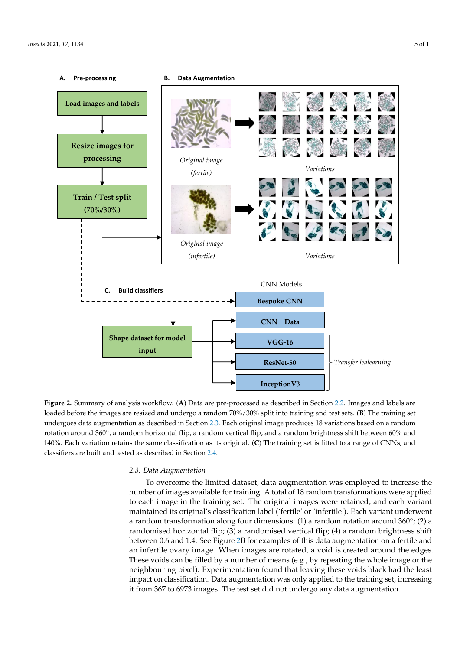<span id="page-4-0"></span>

ing it from 367 to 6973 images. The test set did not undergo any data augmentation.

Figure 2. Summary of analysis workflow. (A) Data are pre-processed as described in Section 2.2[. Im](#page-3-1)ages and labels are loaded before the images are resized and undergo a random 70%/30% split into training and test sets. (B) The training set undergoes data augmentation as described in Section [2.3.](#page-4-1) Each original image produces 18 variations based on a random rotation around 360°, a random horizontal flip, a random vertical flip, and a random brightness shift between 60% and 140%. Each variation retains the same classification as its original of the same classification as its original to a range of CNNs, and CNNs, and CNNs, and CNNs, and CNNs, and CNNs, and CNNs, and CNNs, and CNNs, and CNNs, 140%. Each variation retains the same classification as its original. (**C**) The training set is fitted to a range of CNNs, and classifiers are built and tested as described in Section [2.4.](#page-5-0)

## <span id="page-4-1"></span>*2.3. Data Augmentation*

To overcome the limited dataset, data augmentation was employed to increase the number of images available for training. A total of 18 random transformations were applied to each image in the training set. The original images were retained, and each variant maintained its original's classification label ('fertile' or 'infertile'). Each variant underwent a random transformation along four dimensions: (1) a random rotation around  $360^{\circ}$ ; (2) a randomised horizontal flip; (3) a randomised vertical flip; (4) a random brightness shift between 0.6 and 1.4. See Figure [2B](#page-4-0) for examples of this data augmentation on a fertile and an infertile ovary image. When images are rotated, a void is created around the edges. These voids can be filled by a number of means (e.g., by repeating the whole image or the neighbouring pixel). Experimentation found that leaving these voids black had the least impact on classification. Data augmentation was only applied to the training set, increasing it from 367 to 6973 images. The test set did not undergo any data augmentation.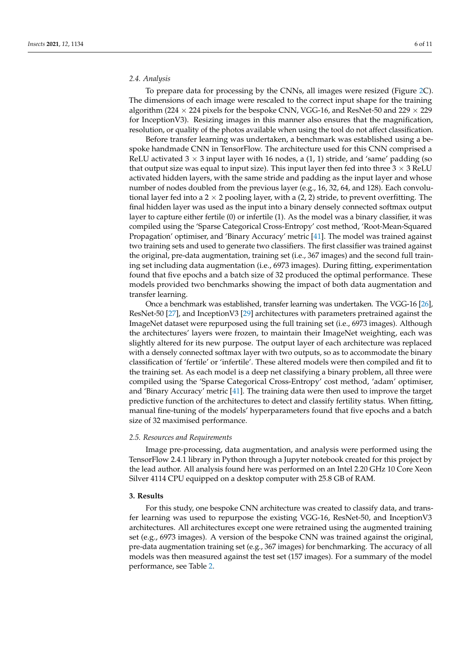# <span id="page-5-0"></span>*2.4. Analysis*

To prepare data for processing by the CNNs, all images were resized (Figure [2C](#page-4-0)). The dimensions of each image were rescaled to the correct input shape for the training algorithm (224  $\times$  224 pixels for the bespoke CNN, VGG-16, and ResNet-50 and 229  $\times$  229 for InceptionV3). Resizing images in this manner also ensures that the magnification, resolution, or quality of the photos available when using the tool do not affect classification.

Before transfer learning was undertaken, a benchmark was established using a bespoke handmade CNN in TensorFlow. The architecture used for this CNN comprised a ReLU activated  $3 \times 3$  input layer with 16 nodes, a (1, 1) stride, and 'same' padding (so that output size was equal to input size). This input layer then fed into three  $3 \times 3$  ReLU activated hidden layers, with the same stride and padding as the input layer and whose number of nodes doubled from the previous layer (e.g., 16, 32, 64, and 128). Each convolutional layer fed into a 2  $\times$  2 pooling layer, with a (2, 2) stride, to prevent overfitting. The final hidden layer was used as the input into a binary densely connected softmax output layer to capture either fertile (0) or infertile (1). As the model was a binary classifier, it was compiled using the 'Sparse Categorical Cross-Entropy' cost method, 'Root-Mean-Squared Propagation' optimiser, and 'Binary Accuracy' metric [\[41\]](#page-10-2). The model was trained against two training sets and used to generate two classifiers. The first classifier was trained against the original, pre-data augmentation, training set (i.e., 367 images) and the second full training set including data augmentation (i.e., 6973 images). During fitting, experimentation found that five epochs and a batch size of 32 produced the optimal performance. These models provided two benchmarks showing the impact of both data augmentation and transfer learning.

Once a benchmark was established, transfer learning was undertaken. The VGG-16 [\[26\]](#page-9-17), ResNet-50 [\[27\]](#page-9-18), and InceptionV3 [\[29\]](#page-9-20) architectures with parameters pretrained against the ImageNet dataset were repurposed using the full training set (i.e., 6973 images). Although the architectures' layers were frozen, to maintain their ImageNet weighting, each was slightly altered for its new purpose. The output layer of each architecture was replaced with a densely connected softmax layer with two outputs, so as to accommodate the binary classification of 'fertile' or 'infertile'. These altered models were then compiled and fit to the training set. As each model is a deep net classifying a binary problem, all three were compiled using the 'Sparse Categorical Cross-Entropy' cost method, 'adam' optimiser, and 'Binary Accuracy' metric [\[41\]](#page-10-2). The training data were then used to improve the target predictive function of the architectures to detect and classify fertility status. When fitting, manual fine-tuning of the models' hyperparameters found that five epochs and a batch size of 32 maximised performance.

#### *2.5. Resources and Requirements*

Image pre-processing, data augmentation, and analysis were performed using the TensorFlow 2.4.1 library in Python through a Jupyter notebook created for this project by the lead author. All analysis found here was performed on an Intel 2.20 GHz 10 Core Xeon Silver 4114 CPU equipped on a desktop computer with 25.8 GB of RAM.

# **3. Results**

For this study, one bespoke CNN architecture was created to classify data, and transfer learning was used to repurpose the existing VGG-16, ResNet-50, and InceptionV3 architectures. All architectures except one were retrained using the augmented training set (e.g., 6973 images). A version of the bespoke CNN was trained against the original, pre-data augmentation training set (e.g., 367 images) for benchmarking. The accuracy of all models was then measured against the test set (157 images). For a summary of the model performance, see Table [2.](#page-6-0)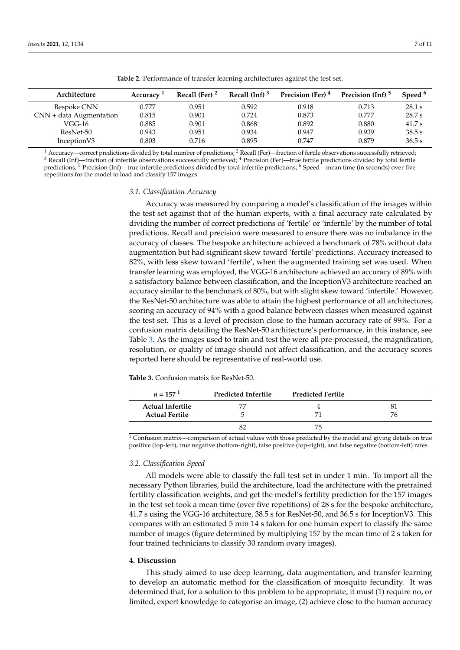<span id="page-6-0"></span>

| Architecture              | Accuracy <sup>1</sup> | Recall (Fer) $2$ | Recall $(Inf)^3$ | Precision (Fer) <sup>4</sup> | Precision (Inf) <sup>5</sup> | Speed <sup>b</sup> |
|---------------------------|-----------------------|------------------|------------------|------------------------------|------------------------------|--------------------|
| Bespoke CNN               | 0.777                 | 0.951            | 0.592            | 0.918                        | 0.713                        | 28.1 s             |
| $CNN + data Augmentation$ | 0.815                 | 0.901            | 0.724            | 0.873                        | 0.777                        | 28.7 s             |
| VGG-16                    | 0.885                 | 0.901            | 0.868            | 0.892                        | 0.880                        | 41.7 s             |
| ResNet-50                 | 0.943                 | 0.951            | 0.934            | 0.947                        | 0.939                        | 38.5 s             |
| Inception V3              | 0.803                 | 0.716            | 0.895            | 0.747                        | 0.879                        | 36.5 s             |

**Table 2.** Performance of transfer learning architectures against the test set.

<sup>1</sup> Accuracy—correct predictions divided by total number of predictions; <sup>2</sup> Recall (Fer)—fraction of fertile observations successfully retrieved; <sup>3</sup> Recall (Inf)—fraction of infertile observations successfully retrieved; <sup>4</sup> Precision (Fer)—true fertile predictions divided by total fertile predictions;<sup>5</sup> Precision (Inf)—true infertile predictions divided by total infertile predictions;<sup>6</sup> Speed—mean time (in seconds) over five repetitions for the model to load and classify 157 images.

#### *3.1. Classification Accuracy*

Accuracy was measured by comparing a model's classification of the images within the test set against that of the human experts, with a final accuracy rate calculated by dividing the number of correct predictions of 'fertile' or 'infertile' by the number of total predictions. Recall and precision were measured to ensure there was no imbalance in the accuracy of classes. The bespoke architecture achieved a benchmark of 78% without data augmentation but had significant skew toward 'fertile' predictions. Accuracy increased to 82%, with less skew toward 'fertile', when the augmented training set was used. When transfer learning was employed, the VGG-16 architecture achieved an accuracy of 89% with a satisfactory balance between classification, and the InceptionV3 architecture reached an accuracy similar to the benchmark of 80%, but with slight skew toward 'infertile.' However, the ResNet-50 architecture was able to attain the highest performance of all architectures, scoring an accuracy of 94% with a good balance between classes when measured against the test set. This is a level of precision close to the human accuracy rate of 99%. For a confusion matrix detailing the ResNet-50 architecture's performance, in this instance, see Table [3.](#page-6-1) As the images used to train and test the were all pre-processed, the magnification, resolution, or quality of image should not affect classification, and the accuracy scores reported here should be representative of real-world use.

| $n = 157^{1}$                                    | Predicted Infertile | <b>Predicted Fertile</b> |    |
|--------------------------------------------------|---------------------|--------------------------|----|
| <b>Actual Infertile</b><br><b>Actual Fertile</b> | 77                  |                          | 76 |
|                                                  | 5                   |                          |    |
|                                                  |                     | 75                       |    |

<span id="page-6-1"></span>**Table 3.** Confusion matrix for ResNet-50.

<sup>1</sup> Confusion matrix—comparison of actual values with those predicted by the model and giving details on true positive (top-left), true negative (bottom-right), false positive (top-right), and false negative (bottom-left) rates.

#### *3.2. Classification Speed*

All models were able to classify the full test set in under 1 min. To import all the necessary Python libraries, build the architecture, load the architecture with the pretrained fertility classification weights, and get the model's fertility prediction for the 157 images in the test set took a mean time (over five repetitions) of 28 s for the bespoke architecture, 41.7 s using the VGG-16 architecture, 38.5 s for ResNet-50, and 36.5 s for InceptionV3. This compares with an estimated 5 min 14 s taken for one human expert to classify the same number of images (figure determined by multiplying 157 by the mean time of 2 s taken for four trained technicians to classify 30 random ovary images).

## **4. Discussion**

This study aimed to use deep learning, data augmentation, and transfer learning to develop an automatic method for the classification of mosquito fecundity. It was determined that, for a solution to this problem to be appropriate, it must (1) require no, or limited, expert knowledge to categorise an image, (2) achieve close to the human accuracy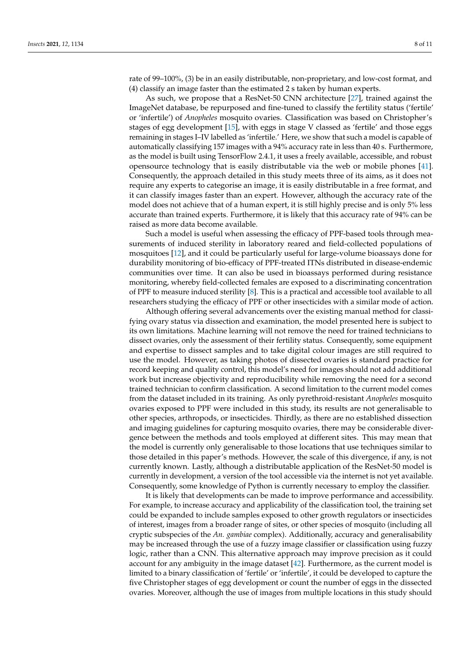rate of 99–100%, (3) be in an easily distributable, non-proprietary, and low-cost format, and (4) classify an image faster than the estimated 2 s taken by human experts.

As such, we propose that a ResNet-50 CNN architecture [\[27\]](#page-9-18), trained against the ImageNet database, be repurposed and fine-tuned to classify the fertility status ('fertile' or 'infertile') of *Anopheles* mosquito ovaries. Classification was based on Christopher's stages of egg development [\[15\]](#page-9-6), with eggs in stage V classed as 'fertile' and those eggs remaining in stages I–IV labelled as 'infertile.' Here, we show that such a model is capable of automatically classifying 157 images with a 94% accuracy rate in less than 40 s. Furthermore, as the model is built using TensorFlow 2.4.1, it uses a freely available, accessible, and robust opensource technology that is easily distributable via the web or mobile phones [\[41\]](#page-10-2). Consequently, the approach detailed in this study meets three of its aims, as it does not require any experts to categorise an image, it is easily distributable in a free format, and it can classify images faster than an expert. However, although the accuracy rate of the model does not achieve that of a human expert, it is still highly precise and is only 5% less accurate than trained experts. Furthermore, it is likely that this accuracy rate of 94% can be raised as more data become available.

Such a model is useful when assessing the efficacy of PPF-based tools through measurements of induced sterility in laboratory reared and field-collected populations of mosquitoes [\[12\]](#page-9-3), and it could be particularly useful for large-volume bioassays done for durability monitoring of bio-efficacy of PPF-treated ITNs distributed in disease-endemic communities over time. It can also be used in bioassays performed during resistance monitoring, whereby field-collected females are exposed to a discriminating concentration of PPF to measure induced sterility [\[8\]](#page-8-5). This is a practical and accessible tool available to all researchers studying the efficacy of PPF or other insecticides with a similar mode of action.

Although offering several advancements over the existing manual method for classifying ovary status via dissection and examination, the model presented here is subject to its own limitations. Machine learning will not remove the need for trained technicians to dissect ovaries, only the assessment of their fertility status. Consequently, some equipment and expertise to dissect samples and to take digital colour images are still required to use the model. However, as taking photos of dissected ovaries is standard practice for record keeping and quality control, this model's need for images should not add additional work but increase objectivity and reproducibility while removing the need for a second trained technician to confirm classification. A second limitation to the current model comes from the dataset included in its training. As only pyrethroid-resistant *Anopheles* mosquito ovaries exposed to PPF were included in this study, its results are not generalisable to other species, arthropods, or insecticides. Thirdly, as there are no established dissection and imaging guidelines for capturing mosquito ovaries, there may be considerable divergence between the methods and tools employed at different sites. This may mean that the model is currently only generalisable to those locations that use techniques similar to those detailed in this paper's methods. However, the scale of this divergence, if any, is not currently known. Lastly, although a distributable application of the ResNet-50 model is currently in development, a version of the tool accessible via the internet is not yet available. Consequently, some knowledge of Python is currently necessary to employ the classifier.

It is likely that developments can be made to improve performance and accessibility. For example, to increase accuracy and applicability of the classification tool, the training set could be expanded to include samples exposed to other growth regulators or insecticides of interest, images from a broader range of sites, or other species of mosquito (including all cryptic subspecies of the *An. gambiae* complex). Additionally, accuracy and generalisability may be increased through the use of a fuzzy image classifier or classification using fuzzy logic, rather than a CNN. This alternative approach may improve precision as it could account for any ambiguity in the image dataset [\[42\]](#page-10-3). Furthermore, as the current model is limited to a binary classification of 'fertile' or 'infertile', it could be developed to capture the five Christopher stages of egg development or count the number of eggs in the dissected ovaries. Moreover, although the use of images from multiple locations in this study should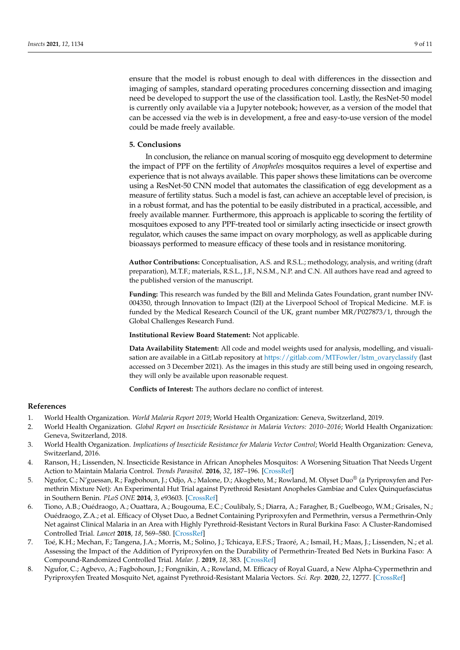ensure that the model is robust enough to deal with differences in the dissection and imaging of samples, standard operating procedures concerning dissection and imaging need be developed to support the use of the classification tool. Lastly, the ResNet-50 model is currently only available via a Jupyter notebook; however, as a version of the model that can be accessed via the web is in development, a free and easy-to-use version of the model could be made freely available.

#### **5. Conclusions**

In conclusion, the reliance on manual scoring of mosquito egg development to determine the impact of PPF on the fertility of *Anopheles* mosquitos requires a level of expertise and experience that is not always available. This paper shows these limitations can be overcome using a ResNet-50 CNN model that automates the classification of egg development as a measure of fertility status. Such a model is fast, can achieve an acceptable level of precision, is in a robust format, and has the potential to be easily distributed in a practical, accessible, and freely available manner. Furthermore, this approach is applicable to scoring the fertility of mosquitoes exposed to any PPF-treated tool or similarly acting insecticide or insect growth regulator, which causes the same impact on ovary morphology, as well as applicable during bioassays performed to measure efficacy of these tools and in resistance monitoring.

**Author Contributions:** Conceptualisation, A.S. and R.S.L.; methodology, analysis, and writing (draft preparation), M.T.F.; materials, R.S.L., J.F., N.S.M., N.P. and C.N. All authors have read and agreed to the published version of the manuscript.

**Funding:** This research was funded by the Bill and Melinda Gates Foundation, grant number INV-004350, through Innovation to Impact (I2I) at the Liverpool School of Tropical Medicine. M.F. is funded by the Medical Research Council of the UK, grant number MR/P027873/1, through the Global Challenges Research Fund.

**Institutional Review Board Statement:** Not applicable.

**Data Availability Statement:** All code and model weights used for analysis, modelling, and visualisation are available in a GitLab repository at [https://gitlab.com/MTFowler/lstm\\_ovaryclassify](https://gitlab.com/MTFowler/lstm_ovaryclassify) (last accessed on 3 December 2021). As the images in this study are still being used in ongoing research, they will only be available upon reasonable request.

**Conflicts of Interest:** The authors declare no conflict of interest.

#### **References**

- <span id="page-8-0"></span>1. World Health Organization. *World Malaria Report 2019*; World Health Organization: Geneva, Switzerland, 2019.
- <span id="page-8-1"></span>2. World Health Organization. *Global Report on Insecticide Resistance in Malaria Vectors: 2010–2016*; World Health Organization: Geneva, Switzerland, 2018.
- <span id="page-8-2"></span>3. World Health Organization. *Implications of Insecticide Resistance for Malaria Vector Control*; World Health Organization: Geneva, Switzerland, 2016.
- <span id="page-8-3"></span>4. Ranson, H.; Lissenden, N. Insecticide Resistance in African Anopheles Mosquitos: A Worsening Situation That Needs Urgent Action to Maintain Malaria Control. *Trends Parasitol.* **2016**, *32*, 187–196. [\[CrossRef\]](http://doi.org/10.1016/j.pt.2015.11.010)
- <span id="page-8-4"></span>5. Ngufor, C.; N'guessan, R.; Fagbohoun, J.; Odjo, A.; Malone, D.; Akogbeto, M.; Rowland, M. Olyset Duo® (a Pyriproxyfen and Permethrin Mixture Net): An Experimental Hut Trial against Pyrethroid Resistant Anopheles Gambiae and Culex Quinquefasciatus in Southern Benin. *PLoS ONE* **2014**, *3*, e93603. [\[CrossRef\]](http://doi.org/10.1371/journal.pone.0093603)
- 6. Tiono, A.B.; Ouédraogo, A.; Ouattara, A.; Bougouma, E.C.; Coulibaly, S.; Diarra, A.; Faragher, B.; Guelbeogo, W.M.; Grisales, N.; Ouédraogo, Z.A.; et al. Efficacy of Olyset Duo, a Bednet Containing Pyriproxyfen and Permethrin, versus a Permethrin-Only Net against Clinical Malaria in an Area with Highly Pyrethroid-Resistant Vectors in Rural Burkina Faso: A Cluster-Randomised Controlled Trial. *Lancet* **2018**, *18*, 569–580. [\[CrossRef\]](http://doi.org/10.1016/S0140-6736(18)31711-2)
- 7. Toé, K.H.; Mechan, F.; Tangena, J.A.; Morris, M.; Solino, J.; Tchicaya, E.F.S.; Traoré, A.; Ismail, H.; Maas, J.; Lissenden, N.; et al. Assessing the Impact of the Addition of Pyriproxyfen on the Durability of Permethrin-Treated Bed Nets in Burkina Faso: A Compound-Randomized Controlled Trial. *Malar. J.* **2019**, *18*, 383. [\[CrossRef\]](http://doi.org/10.1186/s12936-019-3018-1)
- <span id="page-8-5"></span>8. Ngufor, C.; Agbevo, A.; Fagbohoun, J.; Fongnikin, A.; Rowland, M. Efficacy of Royal Guard, a New Alpha-Cypermethrin and Pyriproxyfen Treated Mosquito Net, against Pyrethroid-Resistant Malaria Vectors. *Sci. Rep.* **2020**, *22*, 12777. [\[CrossRef\]](http://doi.org/10.1038/s41598-020-69109-5)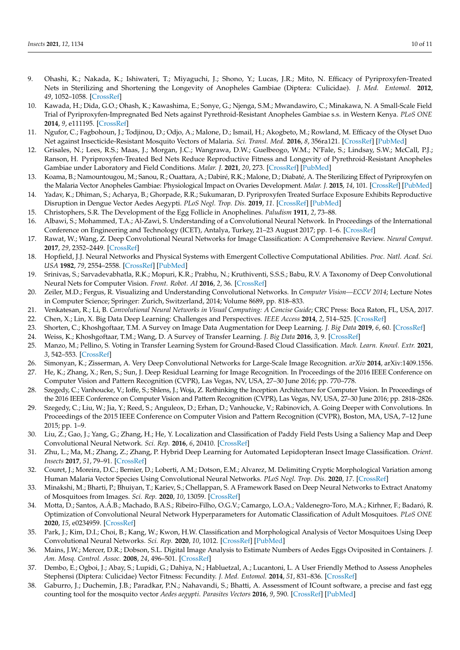- <span id="page-9-0"></span>9. Ohashi, K.; Nakada, K.; Ishiwateri, T.; Miyaguchi, J.; Shono, Y.; Lucas, J.R.; Mito, N. Efficacy of Pyriproxyfen-Treated Nets in Sterilizing and Shortening the Longevity of Anopheles Gambiae (Diptera: Culicidae). *J. Med. Entomol.* **2012**, *49*, 1052–1058. [\[CrossRef\]](http://doi.org/10.1603/ME12006)
- <span id="page-9-1"></span>10. Kawada, H.; Dida, G.O.; Ohash, K.; Kawashima, E.; Sonye, G.; Njenga, S.M.; Mwandawiro, C.; Minakawa, N. A Small-Scale Field Trial of Pyriproxyfen-Impregnated Bed Nets against Pyrethroid-Resistant Anopheles Gambiae s.s. in Western Kenya. *PLoS ONE* **2014**, *9*, e111195. [\[CrossRef\]](http://doi.org/10.1371/journal.pone.0111195)
- <span id="page-9-2"></span>11. Ngufor, C.; Fagbohoun, J.; Todjinou, D.; Odjo, A.; Malone, D.; Ismail, H.; Akogbeto, M.; Rowland, M. Efficacy of the Olyset Duo Net against Insecticide-Resistant Mosquito Vectors of Malaria. *Sci. Transl. Med.* **2016**, *8*, 356ra121. [\[CrossRef\]](http://doi.org/10.1126/scitranslmed.aad3270) [\[PubMed\]](http://www.ncbi.nlm.nih.gov/pubmed/27629488)
- <span id="page-9-3"></span>12. Grisales, N.; Lees, R.S.; Maas, J.; Morgan, J.C.; Wangrawa, D.W.; Guelbeogo, W.M.; N'Fale, S.; Lindsay, S.W.; McCall, P.J.; Ranson, H. Pyriproxyfen-Treated Bed Nets Reduce Reproductive Fitness and Longevity of Pyrethroid-Resistant Anopheles Gambiae under Laboratory and Field Conditions. *Malar. J.* **2021**, *20*, 273. [\[CrossRef\]](http://doi.org/10.1186/s12936-021-03794-z) [\[PubMed\]](http://www.ncbi.nlm.nih.gov/pubmed/34158066)
- <span id="page-9-4"></span>13. Koama, B.; Namountougou, M.; Sanou, R.; Ouattara, A.; Dabiré, R.K.; Malone, D.; Diabaté, A. The Sterilizing Effect of Pyriproxyfen on the Malaria Vector Anopheles Gambiae: Physiological Impact on Ovaries Development. *Malar. J.* **2015**, *14*, 101. [\[CrossRef\]](http://doi.org/10.1186/s12936-015-0609-3) [\[PubMed\]](http://www.ncbi.nlm.nih.gov/pubmed/25880844)
- <span id="page-9-5"></span>14. Yadav, K.; Dhiman, S.; Acharya, B.; Ghorpade, R.R.; Sukumaran, D. Pyriproxyfen Treated Surface Exposure Exhibits Reproductive Disruption in Dengue Vector Aedes Aegypti. *PLoS Negl. Trop. Dis.* **2019**, *11*. [\[CrossRef\]](http://doi.org/10.1371/journal.pntd.0007842) [\[PubMed\]](http://www.ncbi.nlm.nih.gov/pubmed/31738760)
- <span id="page-9-6"></span>15. Christophers, S.R. The Development of the Egg Follicle in Anophelines. *Paludism* **1911**, *2*, 73–88.
- <span id="page-9-7"></span>16. Albawi, S.; Mohammed, T.A.; Al-Zawi, S. Understanding of a Convolutional Neural Network. In Proceedings of the International Conference on Engineering and Technology (ICET), Antalya, Turkey, 21–23 August 2017; pp. 1–6. [\[CrossRef\]](http://doi.org/10.1109/ICEngTechnol.2017.8308186)
- <span id="page-9-8"></span>17. Rawat, W.; Wang, Z. Deep Convolutional Neural Networks for Image Classification: A Comprehensive Review. *Neural Comput.* **2017**, *29*, 2352–2449. [\[CrossRef\]](http://doi.org/10.1162/neco_a_00990)
- <span id="page-9-9"></span>18. Hopfield, J.J. Neural Networks and Physical Systems with Emergent Collective Computational Abilities. *Proc. Natl. Acad. Sci. USA* **1982**, *79*, 2554–2558. [\[CrossRef\]](http://doi.org/10.1073/pnas.79.8.2554) [\[PubMed\]](http://www.ncbi.nlm.nih.gov/pubmed/6953413)
- <span id="page-9-10"></span>19. Srinivas, S.; Sarvadevabhatla, R.K.; Mopuri, K.R.; Prabhu, N.; Kruthiventi, S.S.S.; Babu, R.V. A Taxonomy of Deep Convolutional Neural Nets for Computer Vision. *Front. Robot. AI* **2016**, *2*, 36. [\[CrossRef\]](http://doi.org/10.3389/frobt.2015.00036)
- <span id="page-9-11"></span>20. Zeiler, M.D.; Fergus, R. Visualizing and Understanding Convolutional Networks. In *Computer Vision—ECCV 2014*; Lecture Notes in Computer Science; Springer: Zurich, Switzerland, 2014; Volume 8689, pp. 818–833.
- <span id="page-9-12"></span>21. Venkatesan, R.; Li, B. *Convolutional Neural Networks in Visual Computing: A Concise Guide*; CRC Press: Boca Raton, FL, USA, 2017.
- <span id="page-9-13"></span>22. Chen, X.; Lin, X. Big Data Deep Learning: Challenges and Perspectives. *IEEE Access* **2014**, *2*, 514–525. [\[CrossRef\]](http://doi.org/10.1109/ACCESS.2014.2325029)
- <span id="page-9-14"></span>23. Shorten, C.; Khoshgoftaar, T.M. A Survey on Image Data Augmentation for Deep Learning. *J. Big Data* **2019**, *6*, 60. [\[CrossRef\]](http://doi.org/10.1186/s40537-019-0197-0)
- <span id="page-9-15"></span>24. Weiss, K.; Khoshgoftaar, T.M.; Wang, D. A Survey of Transfer Learning. *J. Big Data* **2016**, *3*, 9. [\[CrossRef\]](http://doi.org/10.1186/s40537-016-0043-6)
- <span id="page-9-16"></span>25. Manzo, M.; Pellino, S. Voting in Transfer Learning System for Ground-Based Cloud Classification. *Mach. Learn. Knowl. Extr.* **2021**, *3*, 542–553. [\[CrossRef\]](http://doi.org/10.3390/make3030028)
- <span id="page-9-17"></span>26. Simonyan, K.; Zisserman, A. Very Deep Convolutional Networks for Large-Scale Image Recognition. *arXiv* **2014**, arXiv:1409.1556.
- <span id="page-9-18"></span>27. He, K.; Zhang, X.; Ren, S.; Sun, J. Deep Residual Learning for Image Recognition. In Proceedings of the 2016 IEEE Conference on Computer Vision and Pattern Recognition (CVPR), Las Vegas, NV, USA, 27–30 June 2016; pp. 770–778.
- <span id="page-9-19"></span>28. Szegedy, C.; Vanhoucke, V.; Ioffe, S.; Shlens, J.; Woja, Z. Rethinking the Inception Architecture for Computer Vision. In Proceedings of the 2016 IEEE Conference on Computer Vision and Pattern Recognition (CVPR), Las Vegas, NV, USA, 27–30 June 2016; pp. 2818–2826.
- <span id="page-9-20"></span>29. Szegedy, C.; Liu, W.; Jia, Y.; Reed, S.; Anguleox, D.; Erhan, D.; Vanhoucke, V.; Rabinovich, A. Going Deeper with Convolutions. In Proceedings of the 2015 IEEE Conference on Computer Vision and Pattern Recognition (CVPR), Boston, MA, USA, 7–12 June 2015; pp. 1–9.
- <span id="page-9-21"></span>30. Liu, Z.; Gao, J.; Yang, G.; Zhang, H.; He, Y. Localization and Classification of Paddy Field Pests Using a Saliency Map and Deep Convolutional Neural Network. *Sci. Rep.* **2016**, *6*, 20410. [\[CrossRef\]](http://doi.org/10.1038/srep20410)
- <span id="page-9-22"></span>31. Zhu, L.; Ma, M.; Zhang, Z.; Zhang, P. Hybrid Deep Learning for Automated Lepidopteran Insect Image Classification. *Orient. Insects* **2017**, *51*, 79–91. [\[CrossRef\]](http://doi.org/10.1080/00305316.2016.1252805)
- <span id="page-9-23"></span>32. Couret, J.; Moreira, D.C.; Bernier, D.; Loberti, A.M.; Dotson, E.M.; Alvarez, M. Delimiting Cryptic Morphological Variation among Human Malaria Vector Species Using Convolutional Neural Networks. *PLoS Negl. Trop. Dis.* **2020**, *17*. [\[CrossRef\]](http://doi.org/10.1371/journal.pntd.0008904)
- 33. Minakshi, M.; Bharti, P.; Bhuiyan, T.; Kariev, S.; Chellappan, S. A Framework Based on Deep Neural Networks to Extract Anatomy of Mosquitoes from Images. *Sci. Rep.* **2020**, *10*, 13059. [\[CrossRef\]](http://doi.org/10.1038/s41598-020-69964-2)
- 34. Motta, D.; Santos, A.Á.B.; Machado, B.A.S.; Ribeiro-Filho, O.G.V.; Camargo, L.O.A.; Valdenegro-Toro, M.A.; Kirhner, F.; Badaró, R. Optimization of Convolutional Neural Network Hyperparameters for Automatic Classification of Adult Mosquitoes. *PLoS ONE* **2020**, *15*, e0234959. [\[CrossRef\]](http://doi.org/10.1371/journal.pone.0234959)
- <span id="page-9-24"></span>35. Park, J.; Kim, D.I.; Choi, B.; Kang, W.; Kwon, H.W. Classification and Morphological Analysis of Vector Mosquitoes Using Deep Convolutional Neural Networks. *Sci. Rep.* **2020**, *10*, 1012. [\[CrossRef\]](http://doi.org/10.1038/s41598-020-57875-1) [\[PubMed\]](http://www.ncbi.nlm.nih.gov/pubmed/31974419)
- <span id="page-9-25"></span>36. Mains, J.W.; Mercer, D.R.; Dobson, S.L. Digital Image Analysis to Estimate Numbers of Aedes Eggs Oviposited in Containers. *J. Am. Mosq. Control. Assoc.* **2008**, *24*, 496–501. [\[CrossRef\]](http://doi.org/10.2987/5740.1)
- 37. Dembo, E.; Ogboi, J.; Abay, S.; Lupidi, G.; Dahiya, N.; Habluetzal, A.; Lucantoni, L. A User Friendly Method to Assess Anopheles Stephensi (Diptera: Culicidae) Vector Fitness: Fecundity. *J. Med. Entomol.* **2014**, *51*, 831–836. [\[CrossRef\]](http://doi.org/10.1603/ME13112)
- <span id="page-9-26"></span>38. Gaburro, J.; Duchemin, J.B.; Paradkar, P.N.; Nahavandi, S.; Bhatti, A. Assessment of ICount software, a precise and fast egg counting tool for the mosquito vector *Aedes aegypti*. *Parasites Vectors* **2016**, *9*, 590. [\[CrossRef\]](http://doi.org/10.1186/s13071-016-1870-1) [\[PubMed\]](http://www.ncbi.nlm.nih.gov/pubmed/27863526)